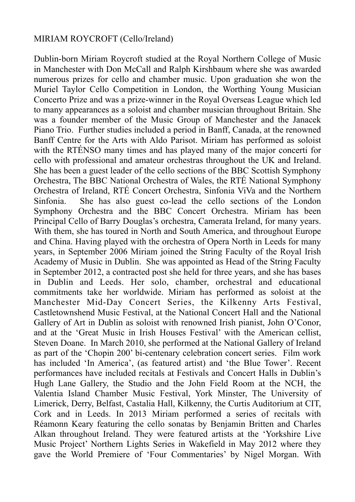## MIRIAM ROYCROFT (Cello/Ireland)

Dublin-born Miriam Roycroft studied at the Royal Northern College of Music in Manchester with Don McCall and Ralph Kirshbaum where she was awarded numerous prizes for cello and chamber music. Upon graduation she won the Muriel Taylor Cello Competition in London, the Worthing Young Musician Concerto Prize and was a prize-winner in the Royal Overseas League which led to many appearances as a soloist and chamber musician throughout Britain. She was a founder member of the Music Group of Manchester and the Janacek Piano Trio. Further studies included a period in Banff, Canada, at the renowned Banff Centre for the Arts with Aldo Parisot. Miriam has performed as soloist with the RTÉNSO many times and has played many of the major concerti for cello with professional and amateur orchestras throughout the UK and Ireland. She has been a guest leader of the cello sections of the BBC Scottish Symphony Orchestra, The BBC National Orchestra of Wales, the RTÉ National Symphony Orchestra of Ireland, RTÉ Concert Orchestra, Sinfonia ViVa and the Northern Sinfonia. She has also guest co-lead the cello sections of the London Symphony Orchestra and the BBC Concert Orchestra. Miriam has been Principal Cello of Barry Douglas's orchestra, Camerata Ireland, for many years. With them, she has toured in North and South America, and throughout Europe and China. Having played with the orchestra of Opera North in Leeds for many years, in September 2006 Miriam joined the String Faculty of the Royal Irish Academy of Music in Dublin. She was appointed as Head of the String Faculty in September 2012, a contracted post she held for three years, and she has bases in Dublin and Leeds. Her solo, chamber, orchestral and educational commitments take her worldwide. Miriam has performed as soloist at the Manchester Mid-Day Concert Series, the Kilkenny Arts Festival, Castletownshend Music Festival, at the National Concert Hall and the National Gallery of Art in Dublin as soloist with renowned Irish pianist, John O'Conor, and at the 'Great Music in Irish Houses Festival' with the American cellist, Steven Doane. In March 2010, she performed at the National Gallery of Ireland as part of the 'Chopin 200' bi-centenary celebration concert series. Film work has included 'In America', (as featured artist) and 'the Blue Tower'. Recent performances have included recitals at Festivals and Concert Halls in Dublin's Hugh Lane Gallery, the Studio and the John Field Room at the NCH, the Valentia Island Chamber Music Festival, York Minster, The University of Limerick, Derry, Belfast, Castalia Hall, Kilkenny, the Curtis Auditorium at CIT, Cork and in Leeds. In 2013 Miriam performed a series of recitals with Réamonn Keary featuring the cello sonatas by Benjamin Britten and Charles Alkan throughout Ireland. They were featured artists at the 'Yorkshire Live Music Project' Northern Lights Series in Wakefield in May 2012 where they gave the World Premiere of 'Four Commentaries' by Nigel Morgan. With